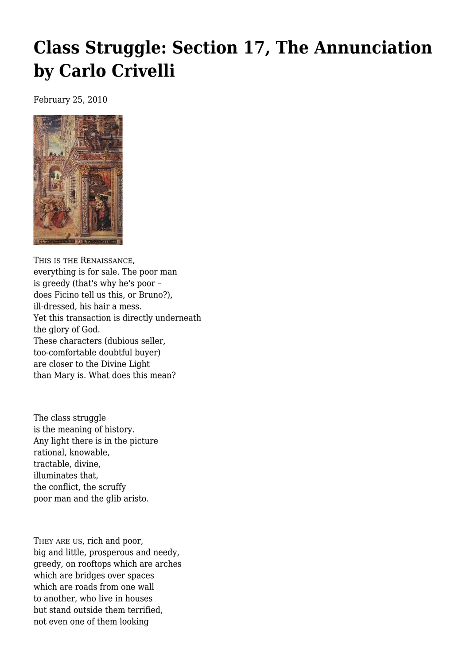## **[Class Struggle: Section 17, The Annunciation](https://newpol.org/issue_post/class-struggle-section-17-annunciation-carlo-crivelli/) [by Carlo Crivelli](https://newpol.org/issue_post/class-struggle-section-17-annunciation-carlo-crivelli/)**

February 25, 2010



THIS IS THE RENAISSANCE, everything is for sale. The poor man is greedy (that's why he's poor – does Ficino tell us this, or Bruno?), ill-dressed, his hair a mess. Yet this transaction is directly underneath the glory of God. These characters (dubious seller, too-comfortable doubtful buyer) are closer to the Divine Light than Mary is. What does this mean?

The class struggle is the meaning of history. Any light there is in the picture rational, knowable, tractable, divine, illuminates that, the conflict, the scruffy poor man and the glib aristo.

THEY ARE US, rich and poor, big and little, prosperous and needy, greedy, on rooftops which are arches which are bridges over spaces which are roads from one wall to another, who live in houses but stand outside them terrified, not even one of them looking